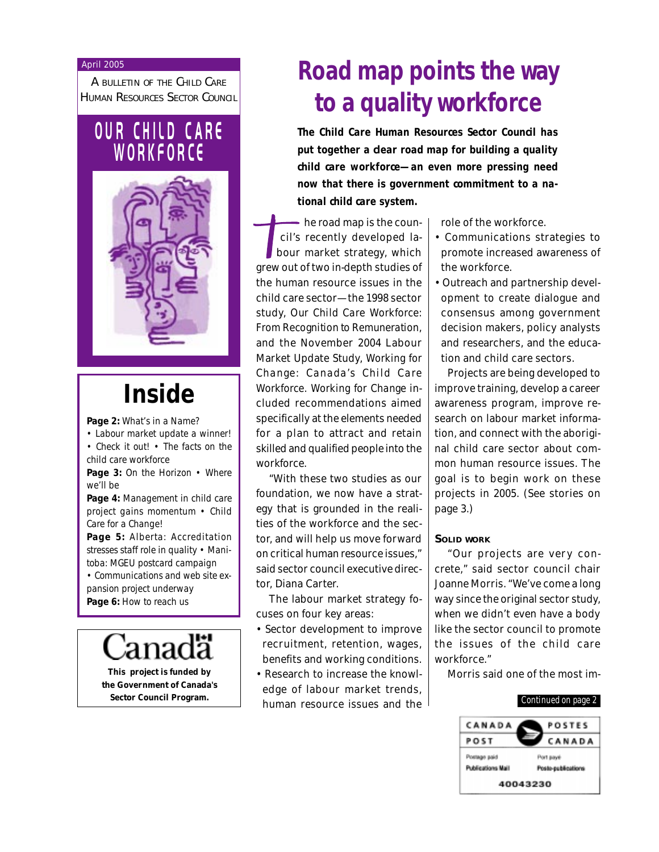#### April 2005

A BULLETIN OF THE CHILD CARE HUMAN RESOURCES SECTOR COUNCIL

# **OUR CHILD CARE W O R K F O R C E**



# **Inside**

**Page 2:** What's in a Name?

• Labour market update a winner! • Check it out! • The facts on the child care workforce

Page 3: On the Horizon • Where we'll be

**Page 4:** Management in child care project gains momentum • Child Care for a Change!

**Page 5:** Alberta: Accreditation stresses staff role in quality • Manitoba: MGEU postcard campaign • Communications and web site ex-

pansion project underway **Page 6:** How to reach us

**This project is funded by the Government of Canada's**

# **Road map points the way to a quality workforce**

**The Child Care Human Resources Sector Council has put together a clear road map for building a quality child care workforce—an even more pressing need now that there is government commitment to a national child care system.**

- he road map is the council's recently developed labour market strategy, which grew out of two in-depth studies of the human resource issues in the child care sector—the 1998 sector study, *Our Child Care Workforce: From Recognition to Remuneration*, and the November 2004 Labour Market Update Study, *Working for Change: Canada's Child Care Workforce. Working for Change* included recommendations aimed specifically at the elements needed for a plan to attract and retain skilled and qualified people into the workforce.

"With these two studies as our foundation, we now have a strategy that is grounded in the realities of the workforce and the sector, and will help us move forward on critical human resource issues," said sector council executive director, Diana Carter.

The labour market strategy focuses on four key areas:

- Sector development to improve recruitment, retention, wages, benefits and working conditions.
- **Sector Council Program.** Thuman resource issues and the **continued on page 2** • Research to increase the knowledge of labour market trends,

role of the workforce.

- Communications strategies to promote increased awareness of the workforce.
- Outreach and partnership development to create dialogue and consensus among government decision makers, policy analysts and researchers, and the education and child care sectors.

Projects are being developed to improve training, develop a career awareness program, improve research on labour market information, and connect with the aboriginal child care sector about common human resource issues. The goal is to begin work on these projects in 2005. (See stories on page 3.)

### **SOLID WORK**

"Our projects are very concrete," said sector council chair Joanne Morris. "We've come a long way since the original sector study, when we didn't even have a body like the sector council to promote the issues of the child care workforce."

Morris said one of the most im-

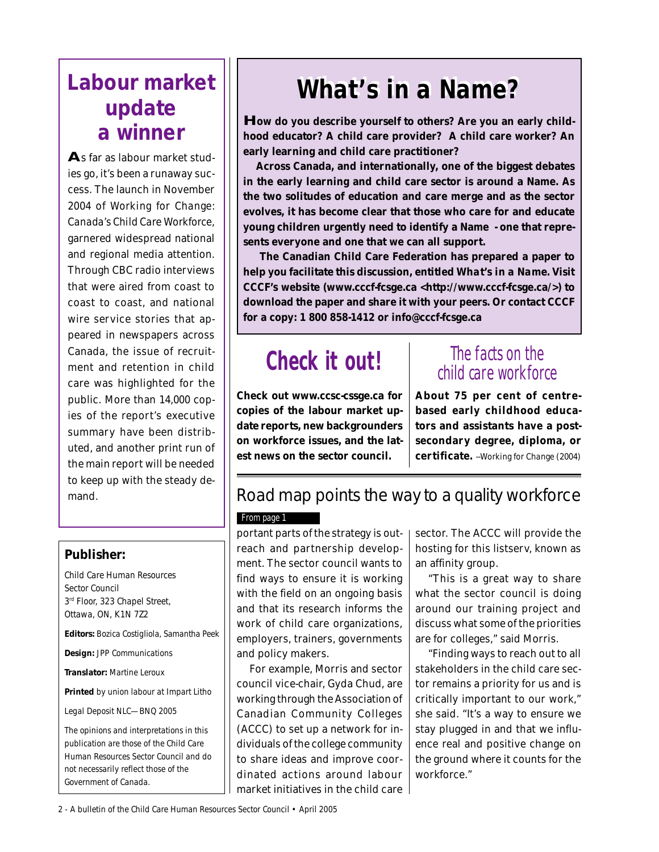# **Labour market update a winner**

**A**s far as labour market studies go, it's been a runaway success. The launch in November 2004 of *Working for Change: Canada's Child Care Workforce*, garnered widespread national and regional media attention. Through CBC radio interviews that were aired from coast to coast to coast, and national wire service stories that appeared in newspapers across Canada, the issue of recruitment and retention in child care was highlighted for the public. More than 14,000 copies of the report's executive summary have been distributed, and another print run of the main report will be needed to keep up with the steady demand.

# **Publisher:**

Child Care Human Resources Sector Council 3<sup>rd</sup> Floor, 323 Chapel Street, Ottawa, ON, K1N 7Z2

**Editors:** Bozica Costigliola, Samantha Peek

**Design:** JPP Communications

**Translator:** Martine Leroux

**Printed** by union labour at Impart Litho

Legal Deposit NLC—BNQ 2005

The opinions and interpretations in this publication are those of the Child Care Human Resources Sector Council and do not necessarily reflect those of the Government of Canada.

# **What's in a Name? What's in a Name?**

**How do you describe yourself to others? Are you an early childhood educator? A child care provider? A child care worker? An early learning and child care practitioner?**

**Across Canada, and internationally, one of the biggest debates in the early learning and child care sector is around a Name. As the two solitudes of education and care merge and as the sector evolves, it has become clear that those who care for and educate young children urgently need to identify a Name - one that represents everyone and one that we can all support.**

 **The Canadian Child Care Federation has prepared a paper to help you facilitate this discussion, entitled** *What's in a Name***. Visit CCCF's website (www.cccf-fcsge.ca <http://www.cccf-fcsge.ca/>) to download the paper and share it with your peers. Or contact CCCF for a copy: 1 800 858-1412 or info@cccf-fcsge.ca**

# **Check it out!** The facts on the

**Check out www.ccsc-cssge.ca for copies of the labour market update reports, new backgrounders on workforce issues, and the latest news on the sector council.**

# child care workforce

**About 75 per cent of centrebased early childhood educators and assistants have a postsecondary degree, diploma, or certificate.** --*Working for Change* (2004)

# Road map points the way to a quality workforce

# From page 1

portant parts of the strategy is outreach and partnership development. The sector council wants to find ways to ensure it is working with the field on an ongoing basis and that its research informs the work of child care organizations, employers, trainers, governments and policy makers.

For example, Morris and sector council vice-chair, Gyda Chud, are working through the Association of Canadian Community Colleges (ACCC) to set up a network for individuals of the college community to share ideas and improve coordinated actions around labour market initiatives in the child care sector. The ACCC will provide the hosting for this listserv, known as an affinity group.

"This is a great way to share what the sector council is doing around our training project and discuss what some of the priorities are for colleges," said Morris.

"Finding ways to reach out to all stakeholders in the child care sector remains a priority for us and is critically important to our work," she said. "It's a way to ensure we stay plugged in and that we influence real and positive change on the ground where it counts for the workforce."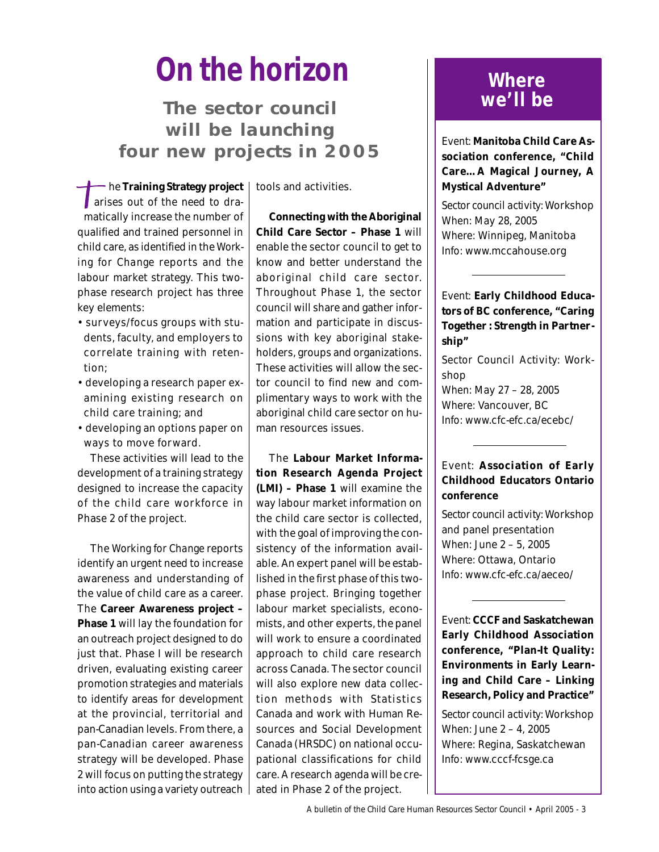# **On the horizon**

**The sector council will be launching four new projects in 2005**

he **Training Strategy project** arises out of the need to dramatically increase the number of qualified and trained personnel in child care, as identified in the *Working for Change* reports and the labour market strategy. This twophase research project has three key elements:

- surveys/focus groups with students, faculty, and employers to correlate training with retention;
- developing a research paper examining existing research on child care training; and
- developing an options paper on ways to move forward.

These activities will lead to the development of a training strategy designed to increase the capacity of the child care workforce in Phase 2 of the project.

The *Working for Change* reports identify an urgent need to increase awareness and understanding of the value of child care as a career. The **Career Awareness project – Phase 1** will lay the foundation for an outreach project designed to do just that. Phase I will be research driven, evaluating existing career promotion strategies and materials to identify areas for development at the provincial, territorial and pan-Canadian levels. From there, a pan-Canadian career awareness strategy will be developed. Phase 2 will focus on putting the strategy into action using a variety outreach

tools and activities.

**Connecting with the Aboriginal Child Care Sector – Phase 1** will enable the sector council to get to know and better understand the aboriginal child care sector. Throughout Phase 1, the sector council will share and gather information and participate in discussions with key aboriginal stakeholders, groups and organizations. These activities will allow the sector council to find new and complimentary ways to work with the aboriginal child care sector on human resources issues.

The **Labour Market Information Research Agenda Project (LMI) – Phase 1** will examine the way labour market information on the child care sector is collected, with the goal of improving the consistency of the information available. An expert panel will be established in the first phase of this twophase project. Bringing together labour market specialists, economists, and other experts, the panel will work to ensure a coordinated approach to child care research across Canada. The sector council will also explore new data collection methods with Statistics Canada and work with Human Resources and Social Development Canada (HRSDC) on national occupational classifications for child care. A research agenda will be created in Phase 2 of the project.

# **Where we'll be**

*Event:* **Manitoba Child Care Association conference, "Child Care…A Magical Journey, A Mystical Adventure"**

*Sector council activity:* Workshop *When:* May 28, 2005 *Where:* Winnipeg, Manitoba *Info:* www.mccahouse.org

# *Event:* **Early Childhood Educators of BC conference, "Caring Together : Strength in Partnership"**

*Sector Council Activity*: Workshop *When:* May 27 – 28, 2005 *Where:* Vancouver, BC *Info:* www.cfc-efc.ca/ecebc/

# *Event:* **Association of Early Childhood Educators Ontario conference**

*Sector council activity:* Workshop and panel presentation *When:* June 2 – 5, 2005 *Where:* Ottawa, Ontario *Info:* www.cfc-efc.ca/aeceo/

*Event:* **CCCF and Saskatchewan Early Childhood Association conference, "Plan-It Quality: Environments in Early Learning and Child Care – Linking Research, Policy and Practice"**

*Sector council activity:* Workshop *When:* June 2 – 4, 2005 *Where:* Regina, Saskatchewan *Info:* www.cccf-fcsge.ca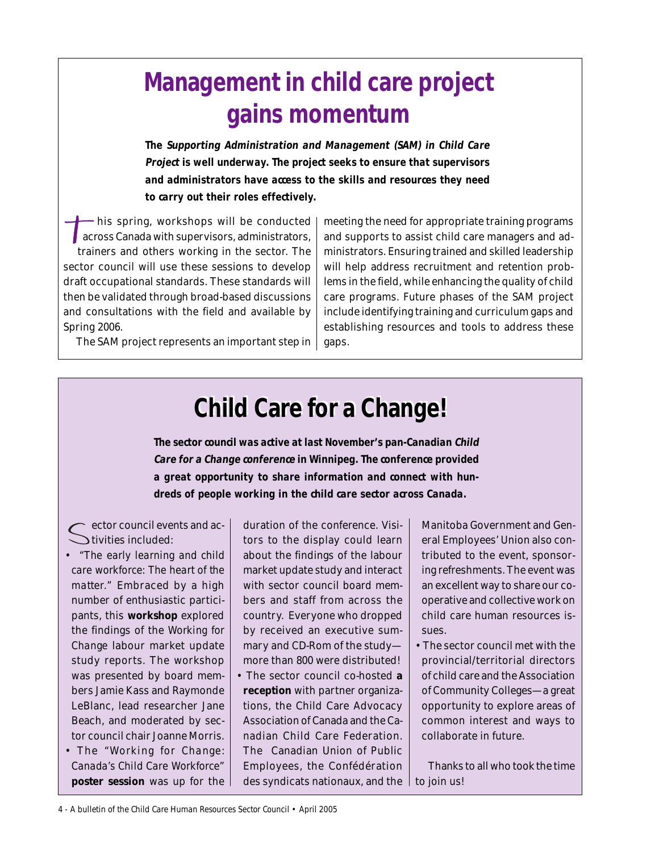# **Management in child care project gains momentum**

**The Supporting Administration and Management (SAM) in Child Care Project is well underway. The project seeks to ensure that supervisors and administrators have access to the skills and resources they need to carry out their roles effectively.**

his spring, workshops will be conducted across Canada with supervisors, administrators, trainers and others working in the sector. The sector council will use these sessions to develop draft occupational standards. These standards will then be validated through broad-based discussions and consultations with the field and available by Spring 2006.

The SAM project represents an important step in

meeting the need for appropriate training programs and supports to assist child care managers and administrators. Ensuring trained and skilled leadership will help address recruitment and retention problems in the field, while enhancing the quality of child care programs. Future phases of the SAM project include identifying training and curriculum gaps and establishing resources and tools to address these gaps.

# **Child Care for a Change! Child Care for a Change!**

**The sector council was active at last November's pan-Canadian Child Care for a Change conference in Winnipeg. The conference provided a great opportunity to share information and connect with hundreds of people working in the child care sector across Canada.**

ector council events and ac-Stivities included:

- *"The early learning and child care workforce: The heart of the matter."* Embraced by a high number of enthusiastic participants, this **workshop** explored the findings of the *Working for Change* labour market update study reports. The workshop was presented by board members Jamie Kass and Raymonde LeBlanc, lead researcher Jane Beach, and moderated by sector council chair Joanne Morris.
- The *"Working for Change: Canada's Child Care Workforce"* **poster session** was up for the

duration of the conference. Visitors to the display could learn about the findings of the labour market update study and interact with sector council board members and staff from across the country. Everyone who dropped by received an executive summary and CD-Rom of the study more than 800 were distributed! • The sector council co-hosted **a reception** with partner organizations, the Child Care Advocacy Association of Canada and the Canadian Child Care Federation. The Canadian Union of Public Employees, the Confédération des syndicats nationaux, and the  $\, \mid$  to join us!

Manitoba Government and General Employees' Union also contributed to the event, sponsoring refreshments. The event was an excellent way to share our cooperative and collective work on child care human resources issues.

• The sector council met with the provincial/territorial directors of child care and the Association of Community Colleges—a great opportunity to explore areas of common interest and ways to collaborate in future.

Thanks to all who took the time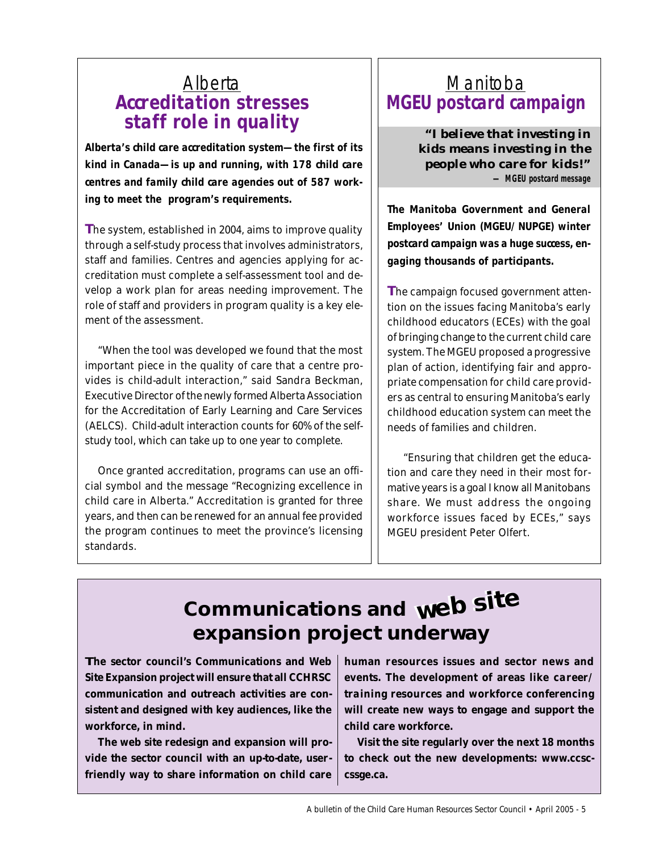# **Alberta Accreditation stresses staff role in quality**

**Alberta's child care accreditation system—the first of its kind in Canada—is up and running, with 178 child care centres and family child care agencies out of 587 working to meet the program's requirements.**

**T**he system, established in 2004, aims to improve quality through a self-study process that involves administrators, staff and families. Centres and agencies applying for accreditation must complete a self-assessment tool and develop a work plan for areas needing improvement. The role of staff and providers in program quality is a key element of the assessment.

"When the tool was developed we found that the most important piece in the quality of care that a centre provides is child-adult interaction," said Sandra Beckman, Executive Director of the newly formed Alberta Association for the Accreditation of Early Learning and Care Services (AELCS). Child-adult interaction counts for 60% of the selfstudy tool, which can take up to one year to complete.

Once granted accreditation, programs can use an official symbol and the message "Recognizing excellence in child care in Alberta." Accreditation is granted for three years, and then can be renewed for an annual fee provided the program continues to meet the province's licensing standards.

# **Manitoba MGEU postcard campaign**

*"I believe that investing in kids means investing in the people who care for kids!"* **— MGEU postcard message**

**The Manitoba Government and General Employees' Union (MGEU/NUPGE) winter postcard campaign was a huge success, engaging thousands of participants.**

**T**he campaign focused government attention on the issues facing Manitoba's early childhood educators (ECEs) with the goal of bringing change to the current child care system. The MGEU proposed a progressive plan of action, identifying fair and appropriate compensation for child care providers as central to ensuring Manitoba's early childhood education system can meet the needs of families and children.

 "Ensuring that children get the education and care they need in their most formative years is a goal I know all Manitobans share. We must address the ongoing workforce issues faced by ECEs," says MGEU president Peter Olfert.

# **Communications and web site web site web siteexpansion project underway**

**The sector council's Communications and Web Site Expansion project will ensure that all CCHRSC communication and outreach activities are consistent and designed with key audiences, like the workforce, in mind.**

**The web site redesign and expansion will provide the sector council with an up-to-date, userfriendly way to share information on child care** **human resources issues and sector news and events. The development of areas like** *career/ training resources* **and** *workforce conferencing* **will create new ways to engage and support the child care workforce.**

**Visit the site regularly over the next 18 months to check out the new developments: www.ccsccssge.ca.**